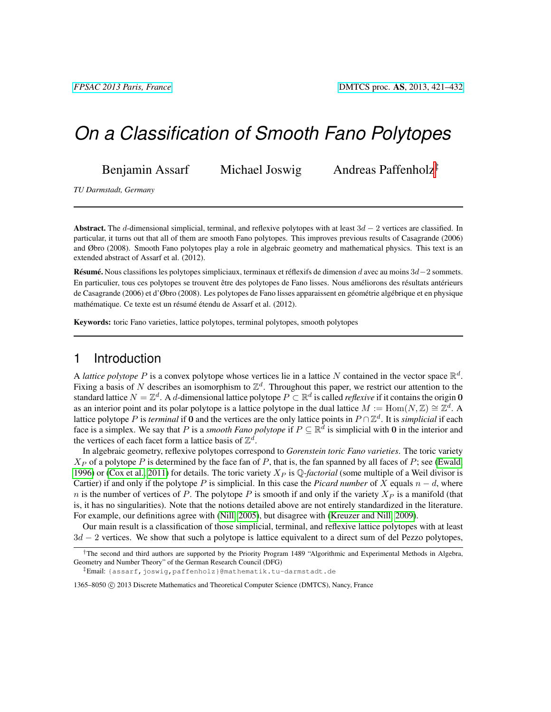# *On a Classification of Smooth Fano Polytopes*

Benjamin Assarf Michael Joswig Andreas Paffenholz<sup>‡</sup>

*TU Darmstadt, Germany*

Abstract. The d-dimensional simplicial, terminal, and reflexive polytopes with at least  $3d - 2$  vertices are classified. In particular, it turns out that all of them are smooth Fano polytopes. This improves previous results of Casagrande (2006) and Øbro (2008). Smooth Fano polytopes play a role in algebraic geometry and mathematical physics. This text is an extended abstract of Assarf et al. (2012).

Résumé. Nous classifions les polytopes simpliciaux, terminaux et réflexifs de dimension d avec au moins 3d−2 sommets. En particulier, tous ces polytopes se trouvent être des polytopes de Fano lisses. Nous améliorons des résultats antérieurs de Casagrande (2006) et d'Øbro (2008). Les polytopes de Fano lisses apparaissent en géométrie algébrique et en physique mathématique. Ce texte est un résumé étendu de Assarf et al. (2012).

Keywords: toric Fano varieties, lattice polytopes, terminal polytopes, smooth polytopes

## 1 Introduction

A *lattice polytope* P is a convex polytope whose vertices lie in a lattice N contained in the vector space  $\mathbb{R}^d$ . Fixing a basis of N describes an isomorphism to  $\mathbb{Z}^d$ . Throughout this paper, we restrict our attention to the standard lattice  $N = \mathbb{Z}^d$ . A d-dimensional lattice polytope  $P \subset \mathbb{R}^d$  is called *reflexive* if it contains the origin 0 as an interior point and its polar polytope is a lattice polytope in the dual lattice  $M := \text{Hom}(N, \mathbb{Z}) \cong \mathbb{Z}^d$ . A lattice polytope P is *terminal* if 0 and the vertices are the only lattice points in  $P \cap \mathbb{Z}^d$ . It is *simplicial* if each face is a simplex. We say that P is a *smooth Fano polytope* if  $P \subseteq \mathbb{R}^d$  is simplicial with 0 in the interior and the vertices of each facet form a lattice basis of  $\mathbb{Z}^d$ .

In algebraic geometry, reflexive polytopes correspond to *Gorenstein toric Fano varieties*. The toric variety  $X_P$  of a polytope P is determined by the face fan of P, that is, the fan spanned by all faces of P; see [\(Ewald,](#page-11-0) [1996\)](#page-11-0) or [\(Cox et al., 2011\)](#page-11-1) for details. The toric variety  $X_P$  is  $\mathbb{Q}$ -factorial (some multiple of a Weil divisor is Cartier) if and only if the polytope P is simplicial. In this case the *Picard number* of X equals  $n - d$ , where n is the number of vertices of P. The polytope P is smooth if and only if the variety  $X_P$  is a manifold (that is, it has no singularities). Note that the notions detailed above are not entirely standardized in the literature. For example, our definitions agree with [\(Nill, 2005\)](#page-11-2), but disagree with [\(Kreuzer and Nill, 2009\)](#page-11-3).

Our main result is a classification of those simplicial, terminal, and reflexive lattice polytopes with at least 3d − 2 vertices. We show that such a polytope is lattice equivalent to a direct sum of del Pezzo polytopes,

<sup>†</sup>The second and third authors are supported by the Priority Program 1489 "Algorithmic and Experimental Methods in Algebra, Geometry and Number Theory" of the German Research Council (DFG)

<sup>‡</sup>Email: {assarf,joswig,paffenholz}@mathematik.tu-darmstadt.de

<sup>1365–8050 © 2013</sup> Discrete Mathematics and Theoretical Computer Science (DMTCS), Nancy, France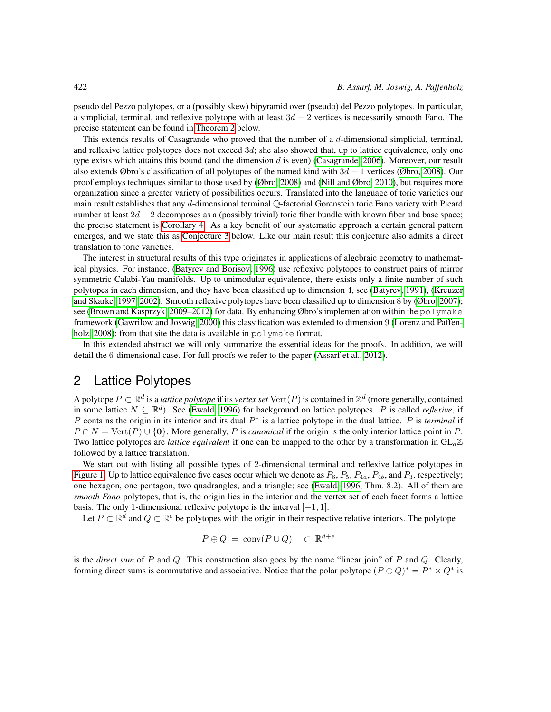pseudo del Pezzo polytopes, or a (possibly skew) bipyramid over (pseudo) del Pezzo polytopes. In particular, a simplicial, terminal, and reflexive polytope with at least  $3d - 2$  vertices is necessarily smooth Fano. The precise statement can be found in [Theorem 2](#page-3-0) below.

This extends results of Casagrande who proved that the number of a  $d$ -dimensional simplicial, terminal, and reflexive lattice polytopes does not exceed 3d; she also showed that, up to lattice equivalence, only one type exists which attains this bound (and the dimension d is even) [\(Casagrande, 2006\)](#page-11-4). Moreover, our result also extends Øbro's classification of all polytopes of the named kind with  $3d - 1$  vertices [\(Øbro, 2008\)](#page-11-5). Our proof employs techniques similar to those used by [\(Øbro, 2008\)](#page-11-5) and [\(Nill and Øbro, 2010\)](#page-11-6), but requires more organization since a greater variety of possibilities occurs. Translated into the language of toric varieties our main result establishes that any d-dimensional terminal Q-factorial Gorenstein toric Fano variety with Picard number at least 2d − 2 decomposes as a (possibly trivial) toric fiber bundle with known fiber and base space; the precise statement is [Corollary 4.](#page-3-0) As a key benefit of our systematic approach a certain general pattern emerges, and we state this as [Conjecture 3](#page-3-0) below. Like our main result this conjecture also admits a direct translation to toric varieties.

The interest in structural results of this type originates in applications of algebraic geometry to mathematical physics. For instance, [\(Batyrev and Borisov, 1996\)](#page-10-0) use reflexive polytopes to construct pairs of mirror symmetric Calabi-Yau manifolds. Up to unimodular equivalence, there exists only a finite number of such polytopes in each dimension, and they have been classified up to dimension 4, see [\(Batyrev, 1991\)](#page-10-1), [\(Kreuzer](#page-11-7) [and Skarke, 1997,](#page-11-7) [2002\)](#page-11-8). Smooth reflexive polytopes have been classified up to dimension 8 by [\(Øbro, 2007\)](#page-11-9); see [\(Brown and Kasprzyk, 2009–2012\)](#page-10-2) for data. By enhancing Øbro's implementation within the polymake framework [\(Gawrilow and Joswig, 2000\)](#page-11-10) this classification was extended to dimension 9 [\(Lorenz and Paffen](#page-11-11)[holz, 2008\)](#page-11-11); from that site the data is available in polymake format.

In this extended abstract we will only summarize the essential ideas for the proofs. In addition, we will detail the 6-dimensional case. For full proofs we refer to the paper [\(Assarf et al., 2012\)](#page-10-3).

# 2 Lattice Polytopes

A polytope  $P \subset \mathbb{R}^d$  is a *lattice polytope* if its *vertex set*  $\text{Vert}(P)$  is contained in  $\mathbb{Z}^d$  (more generally, contained in some lattice  $N \subseteq \mathbb{R}^d$ ). See [\(Ewald, 1996\)](#page-11-0) for background on lattice polytopes. P is called *reflexive*, if P contains the origin in its interior and its dual P<sup>\*</sup> is a lattice polytope in the dual lattice. P is *terminal* if  $P \cap N = \text{Vert}(P) \cup \{0\}$ . More generally, P is *canonical* if the origin is the only interior lattice point in P. Two lattice polytopes are *lattice equivalent* if one can be mapped to the other by a transformation in  $GL_d\mathbb{Z}$ followed by a lattice translation.

We start out with listing all possible types of 2-dimensional terminal and reflexive lattice polytopes in [Figure 1.](#page-2-0) Up to lattice equivalence five cases occur which we denote as  $P_6$ ,  $P_5$ ,  $P_{4a}$ ,  $P_{4b}$ , and  $P_3$ , respectively; one hexagon, one pentagon, two quadrangles, and a triangle; see [\(Ewald, 1996,](#page-11-0) Thm. 8.2). All of them are *smooth Fano* polytopes, that is, the origin lies in the interior and the vertex set of each facet forms a lattice basis. The only 1-dimensional reflexive polytope is the interval  $[-1, 1]$ .

Let  $P \subset \mathbb{R}^d$  and  $Q \subset \mathbb{R}^e$  be polytopes with the origin in their respective relative interiors. The polytope

$$
P \oplus Q = \text{conv}(P \cup Q) \quad \subset \mathbb{R}^{d+e}
$$

is the *direct sum* of P and Q. This construction also goes by the name "linear join" of P and Q. Clearly, forming direct sums is commutative and associative. Notice that the polar polytope  $(P \oplus Q)^* = P^* \times Q^*$  is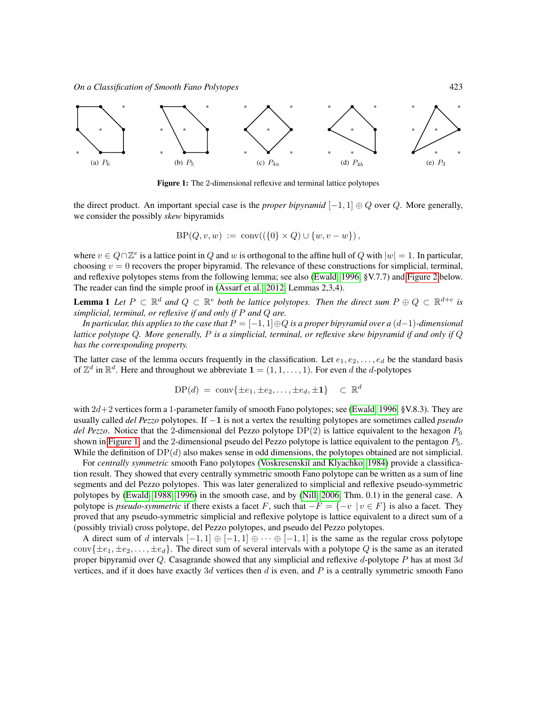

<span id="page-2-0"></span>Figure 1: The 2-dimensional reflexive and terminal lattice polytopes

the direct product. An important special case is the *proper bipyramid*  $[-1, 1] \oplus Q$  over Q. More generally, we consider the possibly *skew* bipyramids

$$
BP(Q, v, w) := \text{conv}((\{0\} \times Q) \cup \{w, v - w\}),
$$

where  $v \in Q \cap \mathbb{Z}^e$  is a lattice point in Q and w is orthogonal to the affine hull of Q with  $|w| = 1$ . In particular, choosing  $v = 0$  recovers the proper bipyramid. The relevance of these constructions for simplicial, terminal, and reflexive polytopes stems from the following lemma; see also [\(Ewald, 1996,](#page-11-0) §V.7.7) and [Figure 2](#page-3-0) below. The reader can find the simple proof in [\(Assarf et al., 2012,](#page-10-3) Lemmas 2,3,4).

**Lemma 1** Let  $P \subset \mathbb{R}^d$  and  $Q \subset \mathbb{R}^e$  both be lattice polytopes. Then the direct sum  $P \oplus Q \subset \mathbb{R}^{d+e}$  is *simplicial, terminal, or reflexive if and only if* P *and* Q *are.*

*In particular, this applies to the case that* P = [−1, 1]⊕Q *is a proper bipyramid over a* (d−1)*-dimensional lattice polytope* Q*. More generally,* P *is a simplicial, terminal, or reflexive skew bipyramid if and only if* Q *has the corresponding property.*

The latter case of the lemma occurs frequently in the classification. Let  $e_1, e_2, \ldots, e_d$  be the standard basis of  $\mathbb{Z}^d$  in  $\mathbb{R}^d$ . Here and throughout we abbreviate  $\mathbf{1} = (1, 1, \dots, 1)$ . For even d the d-polytopes

$$
\text{DP}(d) = \text{conv}\{\pm e_1, \pm e_2, \dots, \pm e_d, \pm 1\} \subset \mathbb{R}^d
$$

with  $2d+2$  vertices form a 1-parameter family of smooth Fano polytopes; see [\(Ewald, 1996,](#page-11-0) §V.8.3). They are usually called *del Pezzo* polytopes. If −1 is not a vertex the resulting polytopes are sometimes called *pseudo del Pezzo*. Notice that the 2-dimensional del Pezzo polytope  $DP(2)$  is lattice equivalent to the hexagon  $P_6$ shown in [Figure 1,](#page-2-0) and the 2-dimensional pseudo del Pezzo polytope is lattice equivalent to the pentagon P5. While the definition of  $DP(d)$  also makes sense in odd dimensions, the polytopes obtained are not simplicial.

For *centrally symmetric* smooth Fano polytopes (Voskresenskiĭ and Klyachko, 1984) provide a classification result. They showed that every centrally symmetric smooth Fano polytope can be written as a sum of line segments and del Pezzo polytopes. This was later generalized to simplicial and reflexive pseudo-symmetric polytopes by [\(Ewald, 1988,](#page-11-13) [1996\)](#page-11-0) in the smooth case, and by [\(Nill, 2006,](#page-11-14) Thm. 0.1) in the general case. A polytope is *pseudo-symmetric* if there exists a facet F, such that  $-F = \{-v \mid v \in F\}$  is also a facet. They proved that any pseudo-symmetric simplicial and reflexive polytope is lattice equivalent to a direct sum of a (possibly trivial) cross polytope, del Pezzo polytopes, and pseudo del Pezzo polytopes.

A direct sum of d intervals  $[-1, 1] \oplus [-1, 1] \oplus \cdots \oplus [-1, 1]$  is the same as the regular cross polytope conv $\{\pm e_1, \pm e_2, \ldots, \pm e_d\}$ . The direct sum of several intervals with a polytope Q is the same as an iterated proper bipyramid over  $Q$ . Casagrande showed that any simplicial and reflexive d-polytope  $P$  has at most  $3d$ vertices, and if it does have exactly 3d vertices then d is even, and P is a centrally symmetric smooth Fano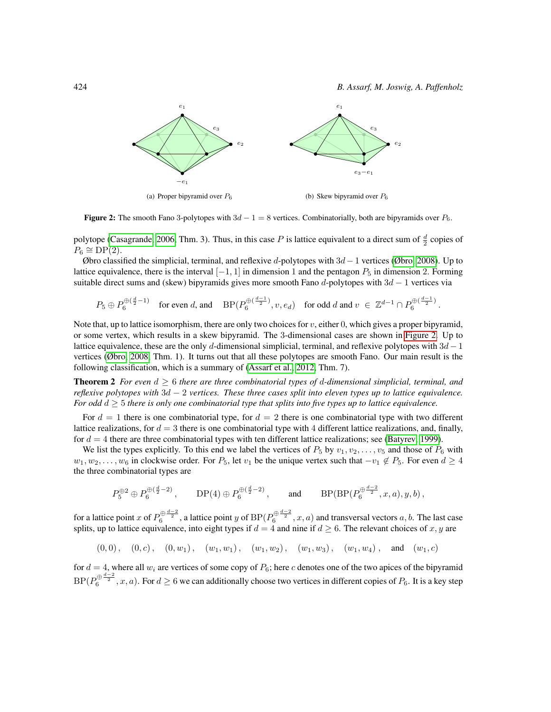424 *B. Assarf, M. Joswig, A. Paffenholz*



<span id="page-3-0"></span>**Figure 2:** The smooth Fano 3-polytopes with  $3d - 1 = 8$  vertices. Combinatorially, both are bipyramids over  $P_6$ .

polytope [\(Casagrande, 2006,](#page-11-4) Thm. 3). Thus, in this case P is lattice equivalent to a direct sum of  $\frac{d}{2}$  copies of  $P_6 \cong \text{DP}(2).$ 

Øbro classified the simplicial, terminal, and reflexive d-polytopes with  $3d-1$  vertices [\(Øbro, 2008\)](#page-11-5). Up to lattice equivalence, there is the interval  $[-1, 1]$  in dimension 1 and the pentagon  $P_5$  in dimension 2. Forming suitable direct sums and (skew) bipyramids gives more smooth Fano d-polytopes with  $3d - 1$  vertices via

$$
P_5 \oplus P_6^{\oplus \left(\frac{d}{2}-1\right)} \quad \text{for even } d, \text{ and } \quad \text{BP}(P_6^{\oplus \left(\frac{d-1}{2}\right)}, v, e_d) \quad \text{for odd } d \text{ and } v \in \mathbb{Z}^{d-1} \cap P_6^{\oplus \left(\frac{d-1}{2}\right)}.
$$

Note that, up to lattice isomorphism, there are only two choices for  $v$ , either 0, which gives a proper bipyramid, or some vertex, which results in a skew bipyramid. The 3-dimensional cases are shown in [Figure 2.](#page-3-0) Up to lattice equivalence, these are the only d-dimensional simplicial, terminal, and reflexive polytopes with  $3d - 1$ vertices [\(Øbro, 2008,](#page-11-5) Thm. 1). It turns out that all these polytopes are smooth Fano. Our main result is the following classification, which is a summary of [\(Assarf et al., 2012,](#page-10-3) Thm. 7).

Theorem 2 *For even* d ≥ 6 *there are three combinatorial types of* d*-dimensional simplicial, terminal, and reflexive polytopes with* 3d − 2 *vertices. These three cases split into eleven types up to lattice equivalence. For odd* d ≥ 5 *there is only one combinatorial type that splits into five types up to lattice equivalence.*

For  $d = 1$  there is one combinatorial type, for  $d = 2$  there is one combinatorial type with two different lattice realizations, for  $d = 3$  there is one combinatorial type with 4 different lattice realizations, and, finally, for  $d = 4$  there are three combinatorial types with ten different lattice realizations; see [\(Batyrev, 1999\)](#page-10-4).

We list the types explicitly. To this end we label the vertices of  $P_5$  by  $v_1, v_2, \ldots, v_5$  and those of  $P_6$  with  $w_1, w_2, \ldots, w_6$  in clockwise order. For  $P_5$ , let  $v_1$  be the unique vertex such that  $-v_1 \notin P_5$ . For even  $d \geq 4$ the three combinatorial types are

$$
P_5^{\oplus 2} \oplus P_6^{\oplus (\frac{d}{2}-2)}\,, \qquad \text{DP}(4)\oplus P_6^{\oplus (\frac{d}{2}-2)}\,, \qquad \text{and} \qquad \text{BP}(\text{BP}(P_6^{\oplus \frac{d-2}{2}},x,a),y,b)\,,
$$

for a lattice point x of  $P_6^{\oplus \frac{d-2}{2}}$ , a lattice point y of  $\mathrm{BP}(P_6^{\oplus \frac{d-2}{2}},x,a)$  and transversal vectors  $a,b$ . The last case splits, up to lattice equivalence, into eight types if  $d = 4$  and nine if  $d \geq 6$ . The relevant choices of x, y are

$$
(0,0), (0,c), (0,w_1), (w_1,w_1), (w_1,w_2), (w_1,w_3), (w_1,w_4), \text{ and } (w_1,c)
$$

for  $d = 4$ , where all  $w_i$  are vertices of some copy of  $P_6$ ; here c denotes one of the two apices of the bipyramid  $BP(P_6^{\oplus \frac{d-2}{2}},x,a)$ . For  $d\geq 6$  we can additionally choose two vertices in different copies of  $P_6$ . It is a key step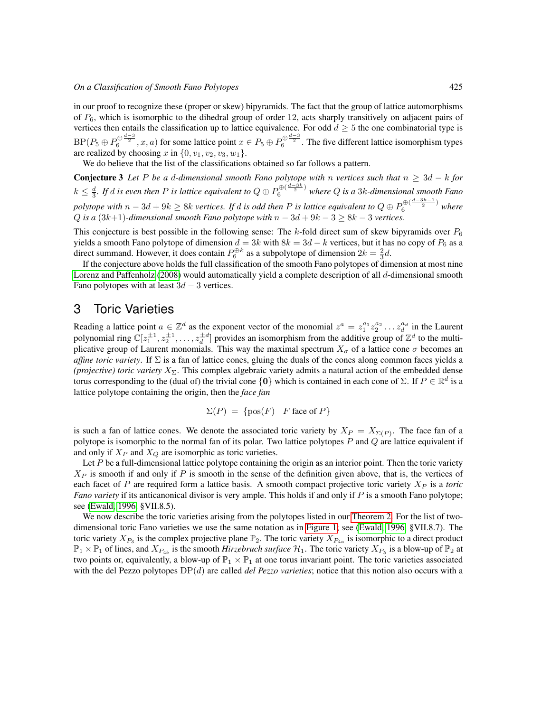in our proof to recognize these (proper or skew) bipyramids. The fact that the group of lattice automorphisms of  $P_6$ , which is isomorphic to the dihedral group of order 12, acts sharply transitively on adjacent pairs of vertices then entails the classification up to lattice equivalence. For odd  $d \geq 5$  the one combinatorial type is  $BP(P_5 \oplus P_6^{\oplus \frac{d-3}{2}}, x, a)$  for some lattice point  $x \in P_5 \oplus P_6^{\oplus \frac{d-3}{2}}$ . The five different lattice isomorphism types are realized by choosing x in  $\{0, v_1, v_2, v_3, w_1\}.$ 

We do believe that the list of the classifications obtained so far follows a pattern.

**Conjecture 3** Let P be a d-dimensional smooth Fano polytope with n vertices such that  $n \geq 3d - k$  for  $k \leq \frac{d}{3}$ . If  $d$  is even then  $P$  is lattice equivalent to  $Q \oplus P_6^{\oplus(\frac{d-3k}{2})}$  where  $Q$  is a 3k-dimensional smooth Fano polytope with  $n-3d+9k \geq 8k$  vertices. If d is odd then P is lattice equivalent to  $Q \oplus P_6^{\oplus (\frac{d-3k-1}{2})}$  where Q is a  $(3k+1)$ -dimensional smooth Fano polytope with  $n - 3d + 9k - 3 \geq 8k - 3$  vertices.

This conjecture is best possible in the following sense: The k-fold direct sum of skew bipyramids over  $P_6$ yields a smooth Fano polytope of dimension  $d = 3k$  with  $8k = 3d - k$  vertices, but it has no copy of  $P_6$  as a direct summand. However, it does contain  $P_6^{\oplus k}$  as a subpolytope of dimension  $2k = \frac{2}{3}d$ .

If the conjecture above holds the full classification of the smooth Fano polytopes of dimension at most nine [Lorenz and Paffenholz](#page-11-11) [\(2008\)](#page-11-11) would automatically yield a complete description of all d-dimensional smooth Fano polytopes with at least  $3d - 3$  vertices.

## 3 Toric Varieties

Reading a lattice point  $a \in \mathbb{Z}^d$  as the exponent vector of the monomial  $z^a = z_1^{a_1} z_2^{a_2} \dots z_d^{a_d}$  in the Laurent polynomial ring  $\mathbb{C}[z_1^{\pm 1}, z_2^{\pm 1}, \dots, z_d^{\pm d}]$  provides an isomorphism from the additive group of  $\mathbb{Z}^d$  to the multiplicative group of Laurent monomials. This way the maximal spectrum  $X_{\sigma}$  of a lattice cone  $\sigma$  becomes an *affine toric variety*. If  $\Sigma$  is a fan of lattice cones, gluing the duals of the cones along common faces yields a *(projective) toric variety*  $X_{\Sigma}$ . This complex algebraic variety admits a natural action of the embedded dense torus corresponding to the (dual of) the trivial cone  $\{0\}$  which is contained in each cone of  $\Sigma$ . If  $P \in \mathbb{R}^d$  is a lattice polytope containing the origin, then the *face fan*

$$
\Sigma(P) = \{ \text{pos}(F) \mid F \text{ face of } P \}
$$

is such a fan of lattice cones. We denote the associated toric variety by  $X_P = X_{\Sigma(P)}$ . The face fan of a polytope is isomorphic to the normal fan of its polar. Two lattice polytopes  $P$  and  $Q$  are lattice equivalent if and only if  $X_P$  and  $X_Q$  are isomorphic as toric varieties.

Let  $P$  be a full-dimensional lattice polytope containing the origin as an interior point. Then the toric variety  $X_P$  is smooth if and only if P is smooth in the sense of the definition given above, that is, the vertices of each facet of P are required form a lattice basis. A smooth compact projective toric variety  $X_P$  is a *toric Fano variety* if its anticanonical divisor is very ample. This holds if and only if P is a smooth Fano polytope; see [\(Ewald, 1996,](#page-11-0) §VII.8.5).

We now describe the toric varieties arising from the polytopes listed in our [Theorem 2.](#page-3-0) For the list of twodimensional toric Fano varieties we use the same notation as in [Figure 1;](#page-2-0) see [\(Ewald, 1996,](#page-11-0) §VII.8.7). The toric variety  $X_{P_3}$  is the complex projective plane  $\mathbb{P}_2$ . The toric variety  $X_{P_{4a}}$  is isomorphic to a direct product  $\mathbb{P}_1 \times \mathbb{P}_1$  of lines, and  $X_{P_{4b}}$  is the smooth *Hirzebruch surface*  $\mathcal{H}_1$ . The toric variety  $X_{P_5}$  is a blow-up of  $\mathbb{P}_2$  at two points or, equivalently, a blow-up of  $\mathbb{P}_1 \times \mathbb{P}_1$  at one torus invariant point. The toric varieties associated with the del Pezzo polytopes DP(d) are called *del Pezzo varieties*; notice that this notion also occurs with a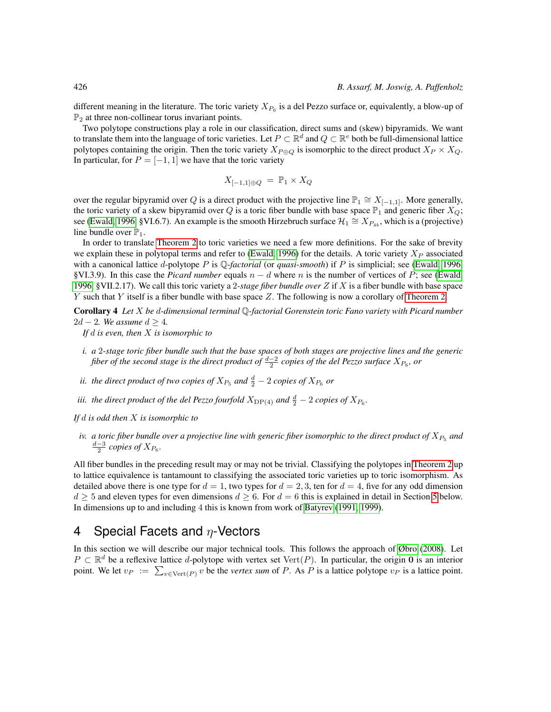different meaning in the literature. The toric variety  $X_{P_6}$  is a del Pezzo surface or, equivalently, a blow-up of  $\mathbb{P}_2$  at three non-collinear torus invariant points.

Two polytope constructions play a role in our classification, direct sums and (skew) bipyramids. We want to translate them into the language of toric varieties. Let  $P \subset \mathbb{R}^d$  and  $Q \subset \mathbb{R}^e$  both be full-dimensional lattice polytopes containing the origin. Then the toric variety  $X_{P \oplus Q}$  is isomorphic to the direct product  $X_P \times X_Q$ . In particular, for  $P = [-1, 1]$  we have that the toric variety

$$
X_{[-1,1]\oplus Q} = \mathbb{P}_1 \times X_Q
$$

over the regular bipyramid over Q is a direct product with the projective line  $\mathbb{P}_1 \cong X_{[-1,1]}$ . More generally, the toric variety of a skew bipyramid over Q is a toric fiber bundle with base space  $\mathbb{P}_1$  and generic fiber  $X_Q$ ; see [\(Ewald, 1996,](#page-11-0) §VI.6.7). An example is the smooth Hirzebruch surface  $\mathcal{H}_1 \cong X_{P_{4b}}$ , which is a (projective) line bundle over  $\mathbb{P}_1$ .

In order to translate [Theorem 2](#page-3-0) to toric varieties we need a few more definitions. For the sake of brevity we explain these in polytopal terms and refer to [\(Ewald, 1996\)](#page-11-0) for the details. A toric variety  $X_P$  associated with a canonical lattice d-polytope P is Q*-factorial* (or *quasi-smooth*) if P is simplicial; see [\(Ewald, 1996,](#page-11-0) §VI.3.9). In this case the *Picard number* equals  $n - d$  where n is the number of vertices of P; see [\(Ewald,](#page-11-0) [1996,](#page-11-0) §VII.2.17). We call this toric variety a 2*-stage fiber bundle over* Z if X is a fiber bundle with base space Y such that Y itself is a fiber bundle with base space  $Z$ . The following is now a corollary of [Theorem 2.](#page-3-0)

Corollary 4 *Let* X *be* d*-dimensional terminal* Q*-factorial Gorenstein toric Fano variety with Picard number* 2d – 2*.* We assume  $d \geq 4$ .

*If* d *is even, then* X *is isomorphic to*

- *i. a* 2*-stage toric fiber bundle such that the base spaces of both stages are projective lines and the generic fiber of the second stage is the direct product of*  $\frac{d-2}{2}$  *copies of the del Pezzo surface*  $X_{P_6}$ *, or*
- *ii. the direct product of two copies of*  $X_{P_5}$  *and*  $\frac{d}{2} 2$  *copies of*  $X_{P_6}$  *or*
- *iii. the direct product of the del Pezzo fourfold*  $X_{\text{DP}(4)}$  and  $\frac{d}{2} 2$  *copies of*  $X_{P_6}$ *.*

*If* d *is odd then* X *is isomorphic to*

*iv. a toric fiber bundle over a projective line with generic fiber isomorphic to the direct product of*  $X_{P_5}$  *and*  $\frac{d-3}{2}$  *copies of*  $X_{P_6}$ *.* 

All fiber bundles in the preceding result may or may not be trivial. Classifying the polytopes in [Theorem 2](#page-3-0) up to lattice equivalence is tantamount to classifying the associated toric varieties up to toric isomorphism. As detailed above there is one type for  $d = 1$ , two types for  $d = 2, 3$ , ten for  $d = 4$ , five for any odd dimension  $d \geq 5$  $d \geq 5$  and eleven types for even dimensions  $d \geq 6$ . For  $d = 6$  this is explained in detail in Section 5 below. In dimensions up to and including 4 this is known from work of [Batyrev](#page-10-1) [\(1991,](#page-10-1) [1999\)](#page-10-4).

# 4 Special Facets and  $\eta$ -Vectors

<span id="page-5-0"></span>In this section we will describe our major technical tools. This follows the approach of [Øbro](#page-11-5) [\(2008\)](#page-11-5). Let  $P \subset \mathbb{R}^d$  be a reflexive lattice d-polytope with vertex set Vert $(P)$ . In particular, the origin 0 is an interior point. We let  $v_P := \sum_{v \in \text{Vert}(P)} v$  be the *vertex sum* of P. As P is a lattice polytope  $v_P$  is a lattice point.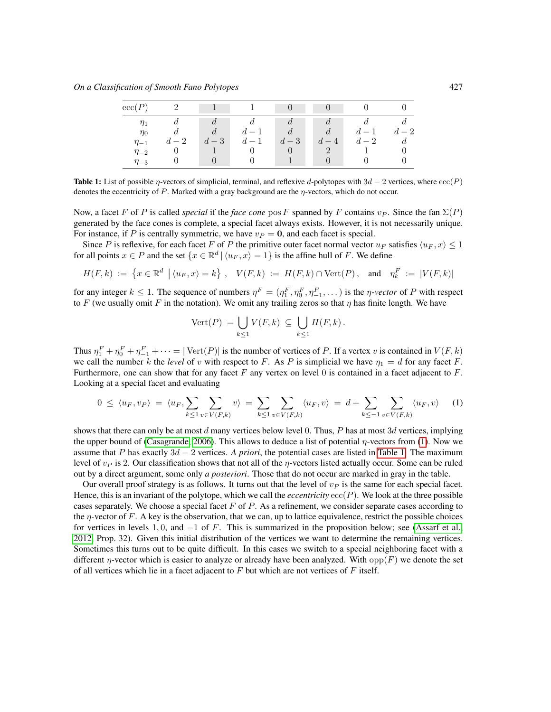| ${\rm ecc}(P)$ | ാ    |      |                          |      |                |      |      |
|----------------|------|------|--------------------------|------|----------------|------|------|
| $\eta_1$       |      |      |                          |      |                |      |      |
| $\eta_0$       |      | d    | $\overline{\phantom{0}}$ |      |                | $-1$ | $-2$ |
| $\eta_{-1}$    | $-2$ | $-3$ | $d-1$                    | $-3$ | $\overline{4}$ | $-2$ |      |
| $\eta_{-2}$    |      |      |                          |      |                |      |      |
| $\eta_{-3}$    |      |      |                          |      |                |      |      |

<span id="page-6-0"></span>Table 1: List of possible  $\eta$ -vectors of simplicial, terminal, and reflexive d-polytopes with  $3d - 2$  vertices, where  $\operatorname{ecc}(P)$ denotes the eccentricity of  $P$ . Marked with a gray background are the  $\eta$ -vectors, which do not occur.

Now, a facet F of P is called *special* if the *face cone* pos F spanned by F contains  $v_P$ . Since the fan  $\Sigma(P)$ generated by the face cones is complete, a special facet always exists. However, it is not necessarily unique. For instance, if P is centrally symmetric, we have  $v_P = 0$ , and each facet is special.

Since P is reflexive, for each facet F of P the primitive outer facet normal vector  $u_F$  satisfies  $\langle u_F, x \rangle \leq 1$ for all points  $x \in P$  and the set  $\{x \in \mathbb{R}^d \mid \langle u_F, x \rangle = 1\}$  is the affine hull of F. We define

$$
H(F,k) := \{ x \in \mathbb{R}^d \mid \langle u_F, x \rangle = k \}, \quad V(F,k) := H(F,k) \cap \text{Vert}(P), \quad \text{and} \quad \eta_k^F := |V(F,k)|
$$

for any integer  $k \le 1$ . The sequence of numbers  $\eta^F = (\eta^F_1, \eta^F_0, \eta^F_{-1}, \dots)$  is the  $\eta$ -vector of P with respect to F (we usually omit F in the notation). We omit any trailing zeros so that  $\eta$  has finite length. We have

$$
\text{Vert}(P) = \bigcup_{k \leq 1} V(F,k) \subseteq \bigcup_{k \leq 1} H(F,k).
$$

Thus  $\eta_1^F + \eta_0^F + \eta_{-1}^F + \cdots = |\text{Vert}(P)|$  is the number of vertices of P. If a vertex v is contained in  $V(F, k)$ we call the number k the *level* of v with respect to F. As P is simplicial we have  $\eta_1 = d$  for any facet F. Furthermore, one can show that for any facet F any vertex on level 0 is contained in a facet adjacent to  $F$ . Looking at a special facet and evaluating

$$
0 \le \langle u_F, v_P \rangle = \langle u_F, \sum_{k \le 1} \sum_{v \in V(F,k)} v \rangle = \sum_{k \le 1} \sum_{v \in V(F,k)} \langle u_F, v \rangle = d + \sum_{k \le -1} \sum_{v \in V(F,k)} \langle u_F, v \rangle \tag{1}
$$

shows that there can only be at most d many vertices below level 0. Thus, P has at most  $3d$  vertices, implying the upper bound of [\(Casagrande, 2006\)](#page-11-4). This allows to deduce a list of potential  $\eta$ -vectors from [\(1\)](#page-5-0). Now we assume that P has exactly 3d − 2 vertices. *A priori*, the potential cases are listed in [Table 1.](#page-6-0) The maximum level of  $v_P$  is 2. Our classification shows that not all of the  $\eta$ -vectors listed actually occur. Some can be ruled out by a direct argument, some only *a posteriori*. Those that do not occur are marked in gray in the table.

Our overall proof strategy is as follows. It turns out that the level of  $v<sub>P</sub>$  is the same for each special facet. Hence, this is an invariant of the polytope, which we call the *eccentricity*  $ecc(P)$ . We look at the three possible cases separately. We choose a special facet  $F$  of  $P$ . As a refinement, we consider separate cases according to the  $\eta$ -vector of F. A key is the observation, that we can, up to lattice equivalence, restrict the possible choices for vertices in levels 1, 0, and  $-1$  of F. This is summarized in the proposition below; see [\(Assarf et al.,](#page-10-3) [2012,](#page-10-3) Prop. 32). Given this initial distribution of the vertices we want to determine the remaining vertices. Sometimes this turns out to be quite difficult. In this cases we switch to a special neighboring facet with a different  $\eta$ -vector which is easier to analyze or already have been analyzed. With opp $(F)$  we denote the set of all vertices which lie in a facet adjacent to  $F$  but which are not vertices of  $F$  itself.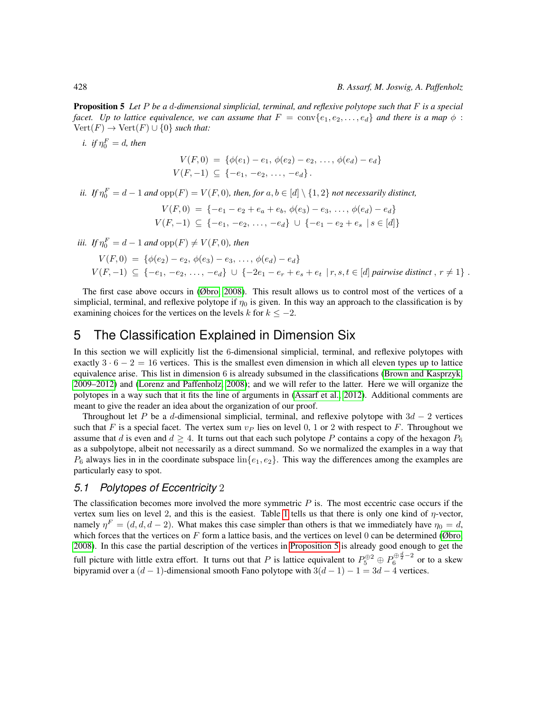Proposition 5 *Let* P *be a* d*-dimensional simplicial, terminal, and reflexive polytope such that* F *is a special facet. Up to lattice equivalence, we can assume that*  $F = \text{conv}\{e_1, e_2, \ldots, e_d\}$  *and there is a map*  $\phi$ :  $Vert(F) \rightarrow \text{Vert}(F) \cup \{0\}$  *such that:* 

i. if 
$$
\eta_0^F = d
$$
, then  
\n
$$
V(F, 0) = \{ \phi(e_1) - e_1, \phi(e_2) - e_2, \dots, \phi(e_d) - e_d \}
$$
\n
$$
V(F, -1) \subseteq \{ -e_1, -e_2, \dots, -e_d \}.
$$

*ii.* If 
$$
\eta_0^F = d - 1
$$
 and  $\text{opp}(F) = V(F, 0)$ , then, for  $a, b \in [d] \setminus \{1, 2\}$  not necessarily distinct,

$$
V(F,0) = \{-e_1 - e_2 + e_a + e_b, \phi(e_3) - e_3, \dots, \phi(e_d) - e_d\}
$$
  

$$
V(F,-1) \subseteq \{-e_1, -e_2, \dots, -e_d\} \cup \{-e_1 - e_2 + e_s \mid s \in [d]\}
$$

*iii. If*  $\eta_0^F = d - 1$  *and*  $opp(F) \neq V(F, 0)$ *, then* 

$$
V(F,0) = \{ \phi(e_2) - e_2, \phi(e_3) - e_3, \dots, \phi(e_d) - e_d \}
$$
  
 
$$
V(F,-1) \subseteq \{ -e_1, -e_2, \dots, -e_d \} \cup \{ -2e_1 - e_r + e_s + e_t \mid r, s, t \in [d] \text{ pairwise distinct}, r \neq 1 \}.
$$

The first case above occurs in [\(Øbro, 2008\)](#page-11-5). This result allows us to control most of the vertices of a simplicial, terminal, and reflexive polytope if  $\eta_0$  is given. In this way an approach to the classification is by examining choices for the vertices on the levels k for  $k \leq -2$ .

# 5 The Classification Explained in Dimension Six

In this section we will explicitly list the 6-dimensional simplicial, terminal, and reflexive polytopes with exactly  $3 \cdot 6 - 2 = 16$  vertices. This is the smallest even dimension in which all eleven types up to lattice equivalence arise. This list in dimension 6 is already subsumed in the classifications [\(Brown and Kasprzyk,](#page-10-2) [2009–2012\)](#page-10-2) and [\(Lorenz and Paffenholz, 2008\)](#page-11-11); and we will refer to the latter. Here we will organize the polytopes in a way such that it fits the line of arguments in [\(Assarf et al., 2012\)](#page-10-3). Additional comments are meant to give the reader an idea about the organization of our proof.

Throughout let P be a d-dimensional simplicial, terminal, and reflexive polytope with  $3d - 2$  vertices such that F is a special facet. The vertex sum  $v_P$  lies on level 0, 1 or 2 with respect to F. Throughout we assume that d is even and  $d \geq 4$ . It turns out that each such polytope P contains a copy of the hexagon  $P_6$ as a subpolytope, albeit not necessarily as a direct summand. So we normalized the examples in a way that  $P_6$  always lies in in the coordinate subspace  $\text{lin}\{e_1, e_2\}$ . This way the differences among the examples are particularly easy to spot.

#### *5.1 Polytopes of Eccentricity* 2

The classification becomes more involved the more symmetric  $P$  is. The most eccentric case occurs if the vertex sum lies on level 2, and this is the easiest. Table [1](#page-6-0) tells us that there is only one kind of  $\eta$ -vector, namely  $\eta^F = (d, d, d - 2)$ . What makes this case simpler than others is that we immediately have  $\eta_0 = d$ , which forces that the vertices on F form a lattice basis, and the vertices on level 0 can be determined ( $\emptyset$ bro, [2008\)](#page-11-5). In this case the partial description of the vertices in [Proposition 5](#page-6-0) is already good enough to get the full picture with little extra effort. It turns out that P is lattice equivalent to  $P_5^{\oplus 2} \oplus P_6^{\oplus \frac{d}{2}-2}$  or to a skew bipyramid over a  $(d-1)$ -dimensional smooth Fano polytope with  $3(d-1) - 1 = 3d - 4$  vertices.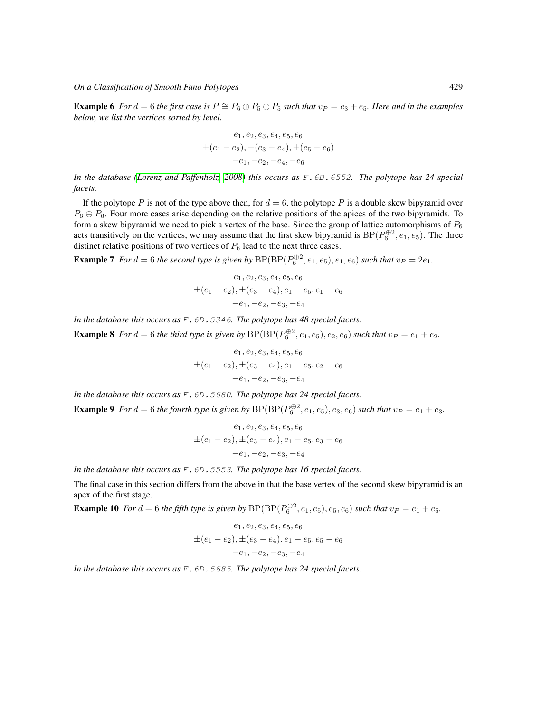*On a Classification of Smooth Fano Polytopes* 429

**Example 6** *For*  $d = 6$  *the first case is*  $P \cong P_6 \oplus P_5 \oplus P_5$  *such that*  $v_P = e_3 + e_5$ *. Here and in the examples below, we list the vertices sorted by level.*

$$
e_1, e_2, e_3, e_4, e_5, e_6
$$
  
\n
$$
\pm (e_1 - e_2), \pm (e_3 - e_4), \pm (e_5 - e_6)
$$
  
\n
$$
-e_1, -e_2, -e_4, -e_6
$$

*In the database [\(Lorenz and Paffenholz, 2008\)](#page-11-11) this occurs as* F.6D.6552*. The polytope has 24 special facets.*

If the polytope P is not of the type above then, for  $d = 6$ , the polytope P is a double skew bipyramid over  $P_6 \oplus P_6$ . Four more cases arise depending on the relative positions of the apices of the two bipyramids. To form a skew bipyramid we need to pick a vertex of the base. Since the group of lattice automorphisms of  $P_6$ acts transitively on the vertices, we may assume that the first skew bipyramid is  $BP(P_6^{\oplus 2}, e_1, e_5)$ . The three distinct relative positions of two vertices of  $P_6$  lead to the next three cases.

**Example 7** For  $d = 6$  the second type is given by  $BP(BP(P_6^{\oplus 2}, e_1, e_5), e_1, e_6)$  such that  $v_P = 2e_1$ .

$$
e_1, e_2, e_3, e_4, e_5, e_6
$$
  
\n $\pm (e_1 - e_2), \pm (e_3 - e_4), e_1 - e_5, e_1 - e_6$   
\n $-e_1, -e_2, -e_3, -e_4$ 

*In the database this occurs as* F.6D.5346*. The polytope has 48 special facets.*

**Example 8** For  $d = 6$  the third type is given by  $BP(BP(P_6^{\oplus 2}, e_1, e_5), e_2, e_6)$  such that  $v_P = e_1 + e_2$ .

$$
e_1, e_2, e_3, e_4, e_5, e_6
$$
  
\n
$$
\pm (e_1 - e_2), \pm (e_3 - e_4), e_1 - e_5, e_2 - e_6
$$
  
\n
$$
-e_1, -e_2, -e_3, -e_4
$$

*In the database this occurs as* F.6D.5680*. The polytope has 24 special facets.*

**Example 9** For  $d = 6$  the fourth type is given by  $BP(BP(P_6^{\oplus 2}, e_1, e_5), e_3, e_6)$  such that  $v_P = e_1 + e_3$ .

$$
e_1, e_2, e_3, e_4, e_5, e_6
$$
  
\n
$$
\pm (e_1 - e_2), \pm (e_3 - e_4), e_1 - e_5, e_3 - e_6
$$
  
\n
$$
-e_1, -e_2, -e_3, -e_4
$$

*In the database this occurs as* F.6D.5553*. The polytope has 16 special facets.*

The final case in this section differs from the above in that the base vertex of the second skew bipyramid is an apex of the first stage.

**Example 10** For  $d = 6$  the fifth type is given by  $BP(BP(P_6^{\oplus 2}, e_1, e_5), e_5, e_6)$  such that  $v_P = e_1 + e_5$ .

$$
e_1, e_2, e_3, e_4, e_5, e_6
$$
  
\n $\pm (e_1 - e_2), \pm (e_3 - e_4), e_1 - e_5, e_5 - e_6$   
\n $-e_1, -e_2, -e_3, -e_4$ 

*In the database this occurs as* F.6D.5685*. The polytope has 24 special facets.*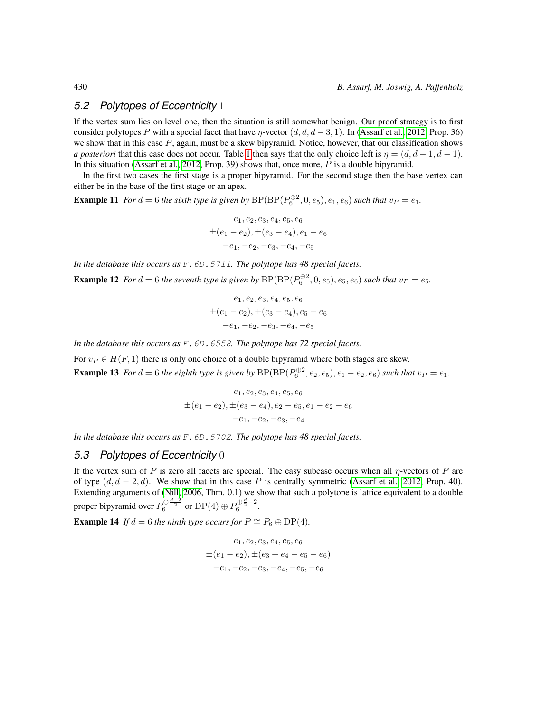#### *5.2 Polytopes of Eccentricity* 1

If the vertex sum lies on level one, then the situation is still somewhat benign. Our proof strategy is to first consider polytopes P with a special facet that have  $\eta$ -vector (d,  $d, d$  – 3, 1). In [\(Assarf et al., 2012,](#page-10-3) Prop. 36) we show that in this case  $P$ , again, must be a skew bipyramid. Notice, however, that our classification shows *a posteriori* that this case does not occur. Table [1](#page-6-0) then says that the only choice left is  $\eta = (d, d - 1, d - 1)$ . In this situation [\(Assarf et al., 2012,](#page-10-3) Prop. 39) shows that, once more,  $P$  is a double bipyramid.

In the first two cases the first stage is a proper bipyramid. For the second stage then the base vertex can either be in the base of the first stage or an apex.

**Example 11** For  $d = 6$  the sixth type is given by  $BP(BP(P_6^{\oplus 2}, 0, e_5), e_1, e_6)$  such that  $v_P = e_1$ .

$$
e_1, e_2, e_3, e_4, e_5, e_6
$$
  
\n
$$
\pm (e_1 - e_2), \pm (e_3 - e_4), e_1 - e_6
$$
  
\n
$$
-e_1, -e_2, -e_3, -e_4, -e_5
$$

*In the database this occurs as* F.6D.5711*. The polytope has 48 special facets.*

**Example 12** For  $d = 6$  the seventh type is given by  $BP(BP(P_6^{\oplus 2}, 0, e_5), e_5, e_6)$  such that  $v_P = e_5$ .

$$
e_1, e_2, e_3, e_4, e_5, e_6
$$
  
\n
$$
\pm (e_1 - e_2), \pm (e_3 - e_4), e_5 - e_6
$$
  
\n
$$
-e_1, -e_2, -e_3, -e_4, -e_5
$$

*In the database this occurs as* F.6D.6558*. The polytope has 72 special facets.*

For  $v_P \in H(F, 1)$  there is only one choice of a double bipyramid where both stages are skew. **Example 13** For  $d = 6$  the eighth type is given by  $BP(BP(P_6^{\oplus 2}, e_2, e_5), e_1 - e_2, e_6)$  such that  $v_P = e_1$ .

$$
e_1, e_2, e_3, e_4, e_5, e_6
$$
  
\n
$$
\pm (e_1 - e_2), \pm (e_3 - e_4), e_2 - e_5, e_1 - e_2 - e_6
$$
  
\n
$$
-e_1, -e_2, -e_3, -e_4
$$

*In the database this occurs as* F.6D.5702*. The polytope has 48 special facets.*

#### *5.3 Polytopes of Eccentricity* 0

If the vertex sum of P is zero all facets are special. The easy subcase occurs when all  $\eta$ -vectors of P are of type  $(d, d - 2, d)$ . We show that in this case P is centrally symmetric [\(Assarf et al., 2012,](#page-10-3) Prop. 40). Extending arguments of [\(Nill, 2006,](#page-11-14) Thm. 0.1) we show that such a polytope is lattice equivalent to a double proper bipyramid over  $P_6^{\oplus \frac{d-2}{2}}$  or  ${\rm DP}(4)\oplus P_6^{\oplus \frac{d}{2}-2}$ .

**Example 14** *If*  $d = 6$  *the ninth type occurs for*  $P \cong P_6 \oplus DP(4)$ *.* 

$$
e_1, e_2, e_3, e_4, e_5, e_6
$$
  
\n
$$
\pm (e_1 - e_2), \pm (e_3 + e_4 - e_5 - e_6)
$$
  
\n
$$
-e_1, -e_2, -e_3, -e_4, -e_5, -e_6
$$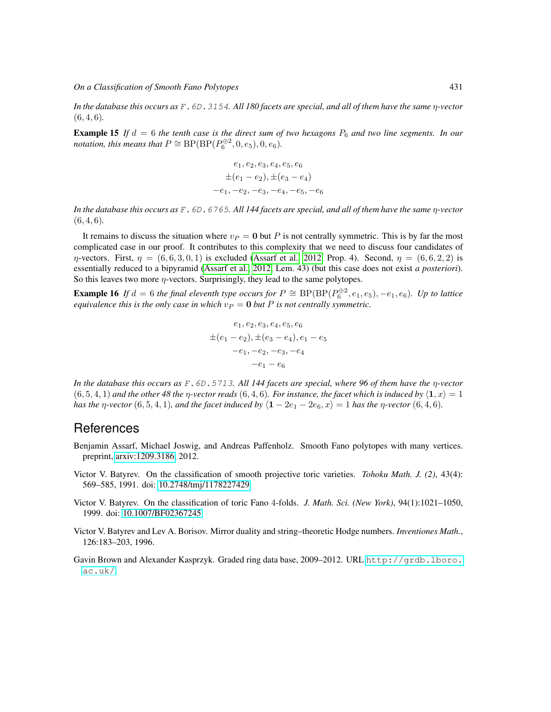*On a Classification of Smooth Fano Polytopes* 431

*In the database this occurs as* F.6D.3154*. All 180 facets are special, and all of them have the same* η*-vector* (6, 4, 6)*.*

**Example 15** If  $d = 6$  the tenth case is the direct sum of two hexagons  $P_6$  and two line segments. In our *notation, this means that*  $P \cong \text{BP}(\text{BP}(P_6^{\oplus 2}, 0, e_5), 0, e_6)$ *.* 

$$
e_1, e_2, e_3, e_4, e_5, e_6
$$
  
\n
$$
\pm (e_1 - e_2), \pm (e_3 - e_4)
$$
  
\n
$$
-e_1, -e_2, -e_3, -e_4, -e_5, -e_6
$$

*In the database this occurs as* F.6D.6765*. All 144 facets are special, and all of them have the same* η*-vector* (6, 4, 6)*.*

It remains to discuss the situation where  $v_P = 0$  but P is not centrally symmetric. This is by far the most complicated case in our proof. It contributes to this complexity that we need to discuss four candidates of  $\eta$ -vectors. First,  $\eta = (6, 6, 3, 0, 1)$  is excluded [\(Assarf et al., 2012,](#page-10-3) Prop. 4). Second,  $\eta = (6, 6, 2, 2)$  is essentially reduced to a bipyramid [\(Assarf et al., 2012,](#page-10-3) Lem. 43) (but this case does not exist *a posteriori*). So this leaves two more  $\eta$ -vectors. Surprisingly, they lead to the same polytopes.

**Example 16** If  $d = 6$  the final eleventh type occurs for  $P \cong BP(BP(P_6^{\oplus 2}, e_1, e_5), -e_1, e_6)$ . Up to lattice *equivalence this is the only case in which*  $v_P = 0$  *but* P *is not centrally symmetric.* 

$$
e_1, e_2, e_3, e_4, e_5, e_6
$$
  
\n
$$
\pm (e_1 - e_2), \pm (e_3 - e_4), e_1 - e_5
$$
  
\n
$$
-e_1, -e_2, -e_3, -e_4
$$
  
\n
$$
-e_1 - e_6
$$

*In the database this occurs as* F.6D.5713*. All 144 facets are special, where 96 of them have the* η*-vector*  $(6, 5, 4, 1)$  *and the other 48 the*  $\eta$ *-vector reads*  $(6, 4, 6)$ *. For instance, the facet which is induced by*  $\langle \mathbf{1}, x \rangle = 1$ *has the*  $\eta$ -vector (6, 5, 4, 1)*, and the facet induced by*  $\langle 1 - 2e_1 - 2e_6, x \rangle = 1$  *has the*  $\eta$ -vector (6, 4, 6)*.* 

## **References**

- <span id="page-10-3"></span>Benjamin Assarf, Michael Joswig, and Andreas Paffenholz. Smooth Fano polytopes with many vertices. preprint, [arxiv:1209.3186,](http://arxiv.org/abs/1209.3186) 2012.
- <span id="page-10-1"></span>Victor V. Batyrev. On the classification of smooth projective toric varieties. *Tohoku Math. J. (2)*, 43(4): 569–585, 1991. doi: [10.2748/tmj/1178227429.](http://dx.doi.org/10.2748/tmj/1178227429)
- <span id="page-10-4"></span>Victor V. Batyrev. On the classification of toric Fano 4-folds. *J. Math. Sci. (New York)*, 94(1):1021–1050, 1999. doi: [10.1007/BF02367245.](http://dx.doi.org/10.1007/BF02367245)
- <span id="page-10-0"></span>Victor V. Batyrev and Lev A. Borisov. Mirror duality and string–theoretic Hodge numbers. *Inventiones Math.*, 126:183–203, 1996.
- <span id="page-10-2"></span>Gavin Brown and Alexander Kasprzyk. Graded ring data base, 2009–2012. URL [http://grdb.lboro.](http://grdb.lboro.ac.uk/) [ac.uk/](http://grdb.lboro.ac.uk/).